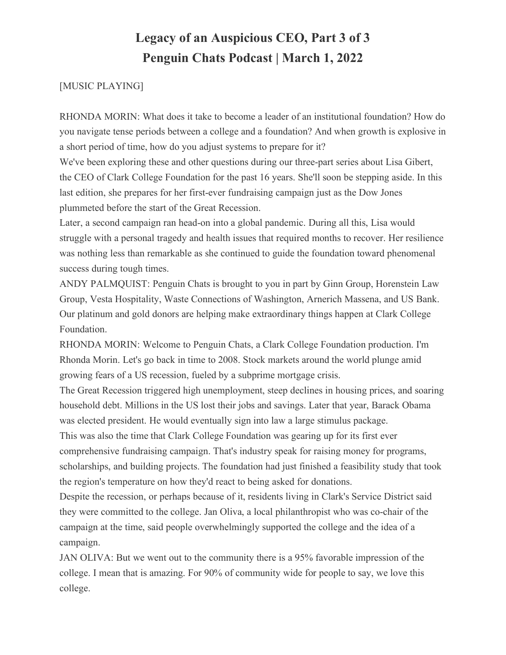#### [MUSIC PLAYING]

RHONDA MORIN: What does it take to become a leader of an institutional foundation? How do you navigate tense periods between a college and a foundation? And when growth is explosive in a short period of time, how do you adjust systems to prepare for it?

We've been exploring these and other questions during our three-part series about Lisa Gibert, the CEO of Clark College Foundation for the past 16 years. She'll soon be stepping aside. In this last edition, she prepares for her first-ever fundraising campaign just as the Dow Jones plummeted before the start of the Great Recession.

Later, a second campaign ran head-on into a global pandemic. During all this, Lisa would struggle with a personal tragedy and health issues that required months to recover. Her resilience was nothing less than remarkable as she continued to guide the foundation toward phenomenal success during tough times.

ANDY PALMQUIST: Penguin Chats is brought to you in part by Ginn Group, Horenstein Law Group, Vesta Hospitality, Waste Connections of Washington, Arnerich Massena, and US Bank. Our platinum and gold donors are helping make extraordinary things happen at Clark College Foundation.

RHONDA MORIN: Welcome to Penguin Chats, a Clark College Foundation production. I'm Rhonda Morin. Let's go back in time to 2008. Stock markets around the world plunge amid growing fears of a US recession, fueled by a subprime mortgage crisis.

The Great Recession triggered high unemployment, steep declines in housing prices, and soaring household debt. Millions in the US lost their jobs and savings. Later that year, Barack Obama was elected president. He would eventually sign into law a large stimulus package. This was also the time that Clark College Foundation was gearing up for its first ever comprehensive fundraising campaign. That's industry speak for raising money for programs, scholarships, and building projects. The foundation had just finished a feasibility study that took the region's temperature on how they'd react to being asked for donations.

Despite the recession, or perhaps because of it, residents living in Clark's Service District said they were committed to the college. Jan Oliva, a local philanthropist who was co-chair of the campaign at the time, said people overwhelmingly supported the college and the idea of a campaign.

JAN OLIVA: But we went out to the community there is a 95% favorable impression of the college. I mean that is amazing. For 90% of community wide for people to say, we love this college.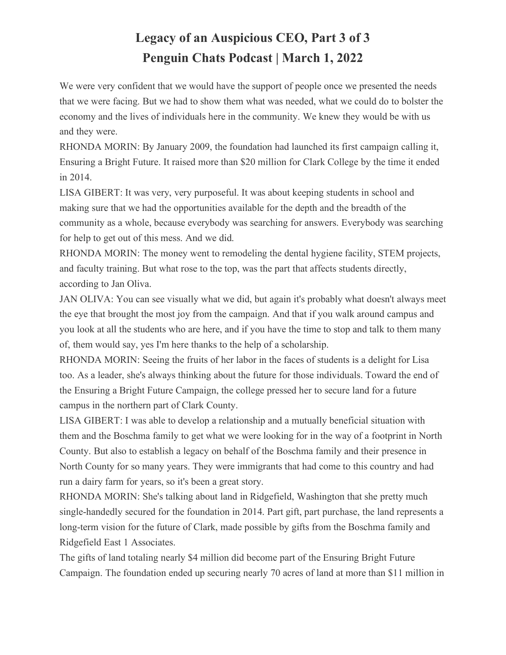We were very confident that we would have the support of people once we presented the needs that we were facing. But we had to show them what was needed, what we could do to bolster the economy and the lives of individuals here in the community. We knew they would be with us and they were.

RHONDA MORIN: By January 2009, the foundation had launched its first campaign calling it, Ensuring a Bright Future. It raised more than \$20 million for Clark College by the time it ended in 2014.

LISA GIBERT: It was very, very purposeful. It was about keeping students in school and making sure that we had the opportunities available for the depth and the breadth of the community as a whole, because everybody was searching for answers. Everybody was searching for help to get out of this mess. And we did.

RHONDA MORIN: The money went to remodeling the dental hygiene facility, STEM projects, and faculty training. But what rose to the top, was the part that affects students directly, according to Jan Oliva.

JAN OLIVA: You can see visually what we did, but again it's probably what doesn't always meet the eye that brought the most joy from the campaign. And that if you walk around campus and you look at all the students who are here, and if you have the time to stop and talk to them many of, them would say, yes I'm here thanks to the help of a scholarship.

RHONDA MORIN: Seeing the fruits of her labor in the faces of students is a delight for Lisa too. As a leader, she's always thinking about the future for those individuals. Toward the end of the Ensuring a Bright Future Campaign, the college pressed her to secure land for a future campus in the northern part of Clark County.

LISA GIBERT: I was able to develop a relationship and a mutually beneficial situation with them and the Boschma family to get what we were looking for in the way of a footprint in North County. But also to establish a legacy on behalf of the Boschma family and their presence in North County for so many years. They were immigrants that had come to this country and had run a dairy farm for years, so it's been a great story.

RHONDA MORIN: She's talking about land in Ridgefield, Washington that she pretty much single-handedly secured for the foundation in 2014. Part gift, part purchase, the land represents a long-term vision for the future of Clark, made possible by gifts from the Boschma family and Ridgefield East 1 Associates.

The gifts of land totaling nearly \$4 million did become part of the Ensuring Bright Future Campaign. The foundation ended up securing nearly 70 acres of land at more than \$11 million in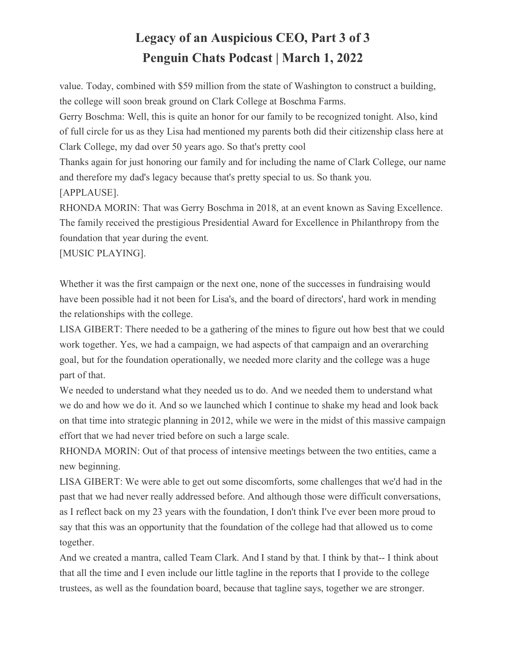value. Today, combined with \$59 million from the state of Washington to construct a building, the college will soon break ground on Clark College at Boschma Farms.

Gerry Boschma: Well, this is quite an honor for our family to be recognized tonight. Also, kind of full circle for us as they Lisa had mentioned my parents both did their citizenship class here at Clark College, my dad over 50 years ago. So that's pretty cool

Thanks again for just honoring our family and for including the name of Clark College, our name and therefore my dad's legacy because that's pretty special to us. So thank you. [APPLAUSE].

RHONDA MORIN: That was Gerry Boschma in 2018, at an event known as Saving Excellence. The family received the prestigious Presidential Award for Excellence in Philanthropy from the foundation that year during the event.

[MUSIC PLAYING].

Whether it was the first campaign or the next one, none of the successes in fundraising would have been possible had it not been for Lisa's, and the board of directors', hard work in mending the relationships with the college.

LISA GIBERT: There needed to be a gathering of the mines to figure out how best that we could work together. Yes, we had a campaign, we had aspects of that campaign and an overarching goal, but for the foundation operationally, we needed more clarity and the college was a huge part of that.

We needed to understand what they needed us to do. And we needed them to understand what we do and how we do it. And so we launched which I continue to shake my head and look back on that time into strategic planning in 2012, while we were in the midst of this massive campaign effort that we had never tried before on such a large scale.

RHONDA MORIN: Out of that process of intensive meetings between the two entities, came a new beginning.

LISA GIBERT: We were able to get out some discomforts, some challenges that we'd had in the past that we had never really addressed before. And although those were difficult conversations, as I reflect back on my 23 years with the foundation, I don't think I've ever been more proud to say that this was an opportunity that the foundation of the college had that allowed us to come together.

And we created a mantra, called Team Clark. And I stand by that. I think by that-- I think about that all the time and I even include our little tagline in the reports that I provide to the college trustees, as well as the foundation board, because that tagline says, together we are stronger.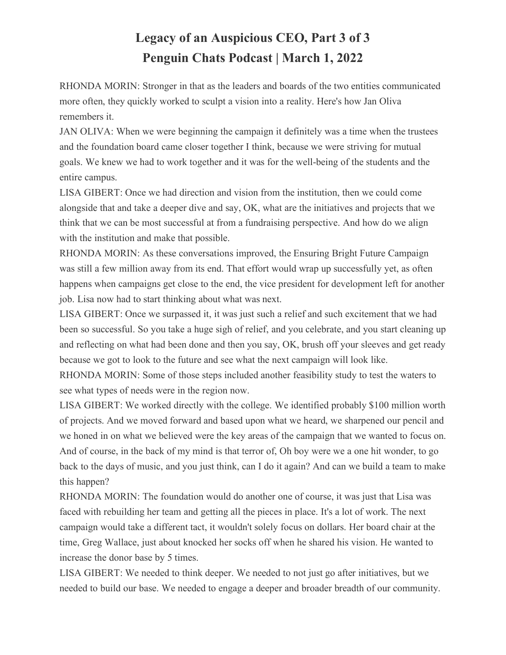RHONDA MORIN: Stronger in that as the leaders and boards of the two entities communicated more often, they quickly worked to sculpt a vision into a reality. Here's how Jan Oliva remembers it.

JAN OLIVA: When we were beginning the campaign it definitely was a time when the trustees and the foundation board came closer together I think, because we were striving for mutual goals. We knew we had to work together and it was for the well-being of the students and the entire campus.

LISA GIBERT: Once we had direction and vision from the institution, then we could come alongside that and take a deeper dive and say, OK, what are the initiatives and projects that we think that we can be most successful at from a fundraising perspective. And how do we align with the institution and make that possible.

RHONDA MORIN: As these conversations improved, the Ensuring Bright Future Campaign was still a few million away from its end. That effort would wrap up successfully yet, as often happens when campaigns get close to the end, the vice president for development left for another job. Lisa now had to start thinking about what was next.

LISA GIBERT: Once we surpassed it, it was just such a relief and such excitement that we had been so successful. So you take a huge sigh of relief, and you celebrate, and you start cleaning up and reflecting on what had been done and then you say, OK, brush off your sleeves and get ready because we got to look to the future and see what the next campaign will look like.

RHONDA MORIN: Some of those steps included another feasibility study to test the waters to see what types of needs were in the region now.

LISA GIBERT: We worked directly with the college. We identified probably \$100 million worth of projects. And we moved forward and based upon what we heard, we sharpened our pencil and we honed in on what we believed were the key areas of the campaign that we wanted to focus on. And of course, in the back of my mind is that terror of, Oh boy were we a one hit wonder, to go back to the days of music, and you just think, can I do it again? And can we build a team to make this happen?

RHONDA MORIN: The foundation would do another one of course, it was just that Lisa was faced with rebuilding her team and getting all the pieces in place. It's a lot of work. The next campaign would take a different tact, it wouldn't solely focus on dollars. Her board chair at the time, Greg Wallace, just about knocked her socks off when he shared his vision. He wanted to increase the donor base by 5 times.

LISA GIBERT: We needed to think deeper. We needed to not just go after initiatives, but we needed to build our base. We needed to engage a deeper and broader breadth of our community.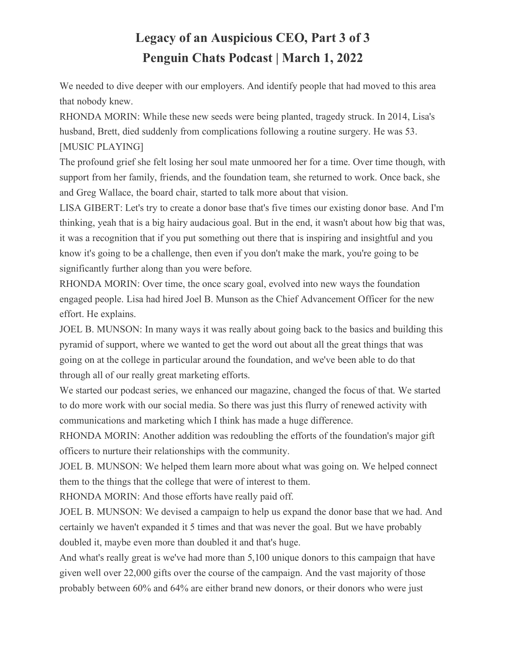We needed to dive deeper with our employers. And identify people that had moved to this area that nobody knew.

RHONDA MORIN: While these new seeds were being planted, tragedy struck. In 2014, Lisa's husband, Brett, died suddenly from complications following a routine surgery. He was 53. [MUSIC PLAYING]

The profound grief she felt losing her soul mate unmoored her for a time. Over time though, with support from her family, friends, and the foundation team, she returned to work. Once back, she and Greg Wallace, the board chair, started to talk more about that vision.

LISA GIBERT: Let's try to create a donor base that's five times our existing donor base. And I'm thinking, yeah that is a big hairy audacious goal. But in the end, it wasn't about how big that was, it was a recognition that if you put something out there that is inspiring and insightful and you know it's going to be a challenge, then even if you don't make the mark, you're going to be significantly further along than you were before.

RHONDA MORIN: Over time, the once scary goal, evolved into new ways the foundation engaged people. Lisa had hired Joel B. Munson as the Chief Advancement Officer for the new effort. He explains.

JOEL B. MUNSON: In many ways it was really about going back to the basics and building this pyramid of support, where we wanted to get the word out about all the great things that was going on at the college in particular around the foundation, and we've been able to do that through all of our really great marketing efforts.

We started our podcast series, we enhanced our magazine, changed the focus of that. We started to do more work with our social media. So there was just this flurry of renewed activity with communications and marketing which I think has made a huge difference.

RHONDA MORIN: Another addition was redoubling the efforts of the foundation's major gift officers to nurture their relationships with the community.

JOEL B. MUNSON: We helped them learn more about what was going on. We helped connect them to the things that the college that were of interest to them.

RHONDA MORIN: And those efforts have really paid off.

JOEL B. MUNSON: We devised a campaign to help us expand the donor base that we had. And certainly we haven't expanded it 5 times and that was never the goal. But we have probably doubled it, maybe even more than doubled it and that's huge.

And what's really great is we've had more than 5,100 unique donors to this campaign that have given well over 22,000 gifts over the course of the campaign. And the vast majority of those probably between 60% and 64% are either brand new donors, or their donors who were just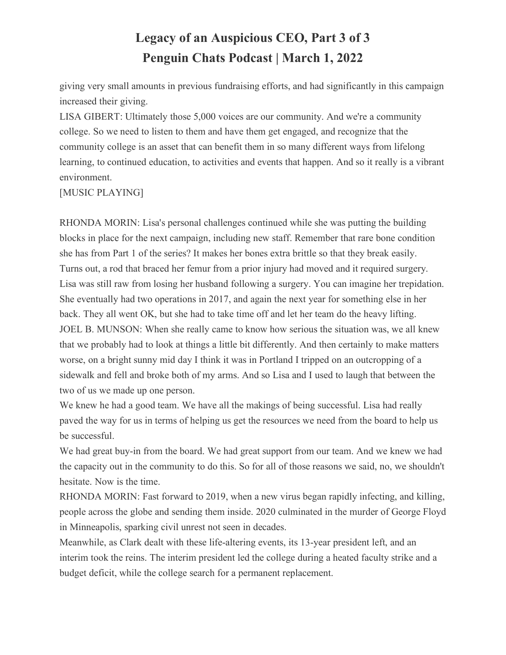giving very small amounts in previous fundraising efforts, and had significantly in this campaign increased their giving.

LISA GIBERT: Ultimately those 5,000 voices are our community. And we're a community college. So we need to listen to them and have them get engaged, and recognize that the community college is an asset that can benefit them in so many different ways from lifelong learning, to continued education, to activities and events that happen. And so it really is a vibrant environment.

[MUSIC PLAYING]

RHONDA MORIN: Lisa's personal challenges continued while she was putting the building blocks in place for the next campaign, including new staff. Remember that rare bone condition she has from Part 1 of the series? It makes her bones extra brittle so that they break easily. Turns out, a rod that braced her femur from a prior injury had moved and it required surgery. Lisa was still raw from losing her husband following a surgery. You can imagine her trepidation. She eventually had two operations in 2017, and again the next year for something else in her back. They all went OK, but she had to take time off and let her team do the heavy lifting. JOEL B. MUNSON: When she really came to know how serious the situation was, we all knew that we probably had to look at things a little bit differently. And then certainly to make matters worse, on a bright sunny mid day I think it was in Portland I tripped on an outcropping of a sidewalk and fell and broke both of my arms. And so Lisa and I used to laugh that between the two of us we made up one person.

We knew he had a good team. We have all the makings of being successful. Lisa had really paved the way for us in terms of helping us get the resources we need from the board to help us be successful.

We had great buy-in from the board. We had great support from our team. And we knew we had the capacity out in the community to do this. So for all of those reasons we said, no, we shouldn't hesitate. Now is the time.

RHONDA MORIN: Fast forward to 2019, when a new virus began rapidly infecting, and killing, people across the globe and sending them inside. 2020 culminated in the murder of George Floyd in Minneapolis, sparking civil unrest not seen in decades.

Meanwhile, as Clark dealt with these life-altering events, its 13-year president left, and an interim took the reins. The interim president led the college during a heated faculty strike and a budget deficit, while the college search for a permanent replacement.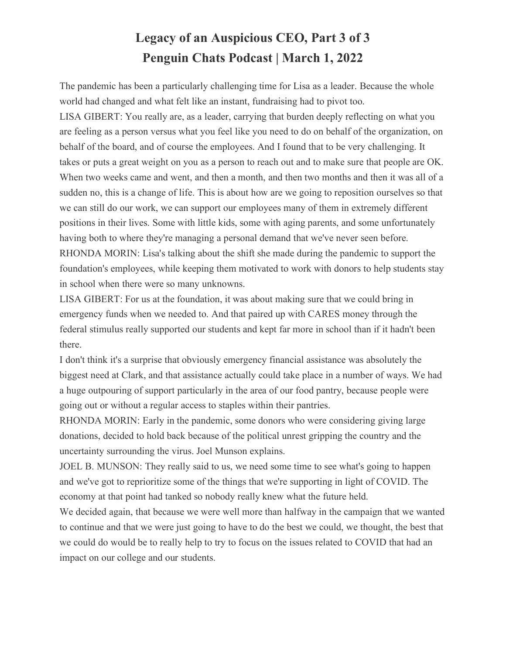The pandemic has been a particularly challenging time for Lisa as a leader. Because the whole world had changed and what felt like an instant, fundraising had to pivot too.

LISA GIBERT: You really are, as a leader, carrying that burden deeply reflecting on what you are feeling as a person versus what you feel like you need to do on behalf of the organization, on behalf of the board, and of course the employees. And I found that to be very challenging. It takes or puts a great weight on you as a person to reach out and to make sure that people are OK. When two weeks came and went, and then a month, and then two months and then it was all of a sudden no, this is a change of life. This is about how are we going to reposition ourselves so that we can still do our work, we can support our employees many of them in extremely different positions in their lives. Some with little kids, some with aging parents, and some unfortunately having both to where they're managing a personal demand that we've never seen before. RHONDA MORIN: Lisa's talking about the shift she made during the pandemic to support the foundation's employees, while keeping them motivated to work with donors to help students stay in school when there were so many unknowns.

LISA GIBERT: For us at the foundation, it was about making sure that we could bring in emergency funds when we needed to. And that paired up with CARES money through the federal stimulus really supported our students and kept far more in school than if it hadn't been there.

I don't think it's a surprise that obviously emergency financial assistance was absolutely the biggest need at Clark, and that assistance actually could take place in a number of ways. We had a huge outpouring of support particularly in the area of our food pantry, because people were going out or without a regular access to staples within their pantries.

RHONDA MORIN: Early in the pandemic, some donors who were considering giving large donations, decided to hold back because of the political unrest gripping the country and the uncertainty surrounding the virus. Joel Munson explains.

JOEL B. MUNSON: They really said to us, we need some time to see what's going to happen and we've got to reprioritize some of the things that we're supporting in light of COVID. The economy at that point had tanked so nobody really knew what the future held.

We decided again, that because we were well more than halfway in the campaign that we wanted to continue and that we were just going to have to do the best we could, we thought, the best that we could do would be to really help to try to focus on the issues related to COVID that had an impact on our college and our students.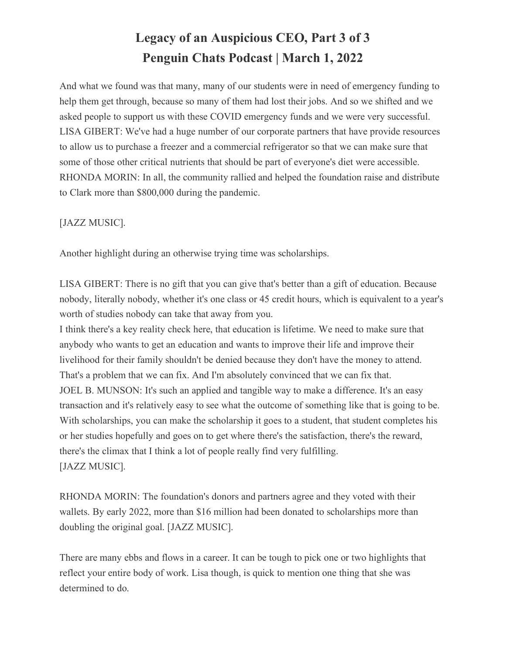And what we found was that many, many of our students were in need of emergency funding to help them get through, because so many of them had lost their jobs. And so we shifted and we asked people to support us with these COVID emergency funds and we were very successful. LISA GIBERT: We've had a huge number of our corporate partners that have provide resources to allow us to purchase a freezer and a commercial refrigerator so that we can make sure that some of those other critical nutrients that should be part of everyone's diet were accessible. RHONDA MORIN: In all, the community rallied and helped the foundation raise and distribute to Clark more than \$800,000 during the pandemic.

[JAZZ MUSIC].

Another highlight during an otherwise trying time was scholarships.

LISA GIBERT: There is no gift that you can give that's better than a gift of education. Because nobody, literally nobody, whether it's one class or 45 credit hours, which is equivalent to a year's worth of studies nobody can take that away from you.

I think there's a key reality check here, that education is lifetime. We need to make sure that anybody who wants to get an education and wants to improve their life and improve their livelihood for their family shouldn't be denied because they don't have the money to attend. That's a problem that we can fix. And I'm absolutely convinced that we can fix that. JOEL B. MUNSON: It's such an applied and tangible way to make a difference. It's an easy transaction and it's relatively easy to see what the outcome of something like that is going to be. With scholarships, you can make the scholarship it goes to a student, that student completes his or her studies hopefully and goes on to get where there's the satisfaction, there's the reward, there's the climax that I think a lot of people really find very fulfilling. [JAZZ MUSIC].

RHONDA MORIN: The foundation's donors and partners agree and they voted with their wallets. By early 2022, more than \$16 million had been donated to scholarships more than doubling the original goal. [JAZZ MUSIC].

There are many ebbs and flows in a career. It can be tough to pick one or two highlights that reflect your entire body of work. Lisa though, is quick to mention one thing that she was determined to do.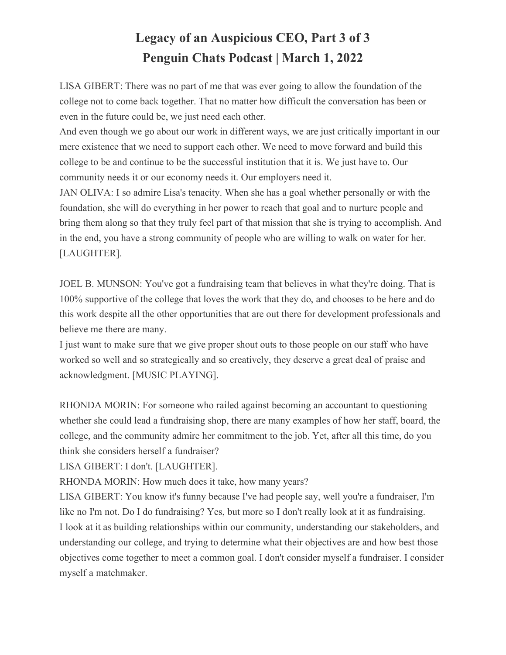LISA GIBERT: There was no part of me that was ever going to allow the foundation of the college not to come back together. That no matter how difficult the conversation has been or even in the future could be, we just need each other.

And even though we go about our work in different ways, we are just critically important in our mere existence that we need to support each other. We need to move forward and build this college to be and continue to be the successful institution that it is. We just have to. Our community needs it or our economy needs it. Our employers need it.

JAN OLIVA: I so admire Lisa's tenacity. When she has a goal whether personally or with the foundation, she will do everything in her power to reach that goal and to nurture people and bring them along so that they truly feel part of that mission that she is trying to accomplish. And in the end, you have a strong community of people who are willing to walk on water for her. [LAUGHTER].

JOEL B. MUNSON: You've got a fundraising team that believes in what they're doing. That is 100% supportive of the college that loves the work that they do, and chooses to be here and do this work despite all the other opportunities that are out there for development professionals and believe me there are many.

I just want to make sure that we give proper shout outs to those people on our staff who have worked so well and so strategically and so creatively, they deserve a great deal of praise and acknowledgment. [MUSIC PLAYING].

RHONDA MORIN: For someone who railed against becoming an accountant to questioning whether she could lead a fundraising shop, there are many examples of how her staff, board, the college, and the community admire her commitment to the job. Yet, after all this time, do you think she considers herself a fundraiser?

LISA GIBERT: I don't. [LAUGHTER].

RHONDA MORIN: How much does it take, how many years?

LISA GIBERT: You know it's funny because I've had people say, well you're a fundraiser, I'm like no I'm not. Do I do fundraising? Yes, but more so I don't really look at it as fundraising. I look at it as building relationships within our community, understanding our stakeholders, and understanding our college, and trying to determine what their objectives are and how best those objectives come together to meet a common goal. I don't consider myself a fundraiser. I consider myself a matchmaker.